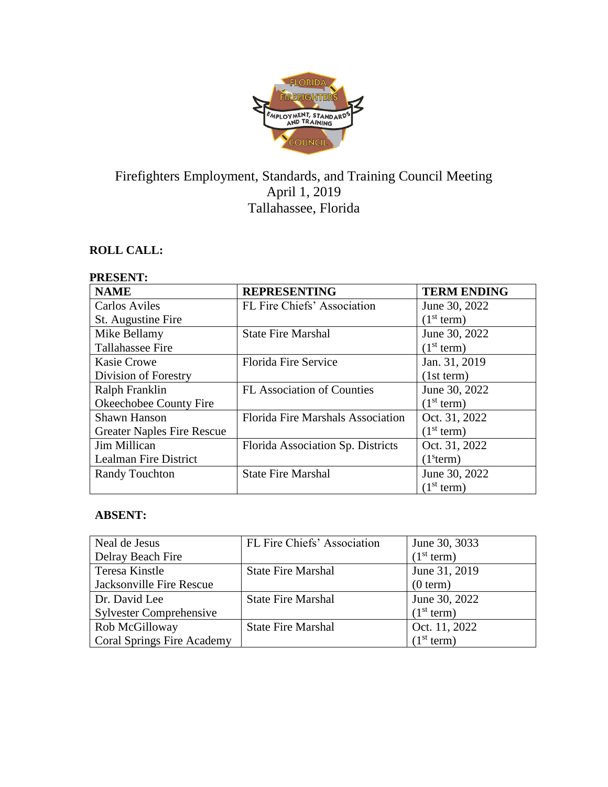

# Firefighters Employment, Standards, and Training Council Meeting April 1, 2019 Tallahassee, Florida

# **ROLL CALL:**

## **PRESENT:**

| <b>NAME</b>                       | <b>REPRESENTING</b>               | <b>TERM ENDING</b>     |
|-----------------------------------|-----------------------------------|------------------------|
| <b>Carlos Aviles</b>              | FL Fire Chiefs' Association       | June 30, 2022          |
| St. Augustine Fire                |                                   | (1 <sup>st</sup> term) |
| Mike Bellamy                      | <b>State Fire Marshal</b>         | June 30, 2022          |
| Tallahassee Fire                  |                                   | (1 <sup>st</sup> term) |
| <b>Kasie Crowe</b>                | <b>Florida Fire Service</b>       | Jan. 31, 2019          |
| Division of Forestry              |                                   | (1st term)             |
| Ralph Franklin                    | <b>FL Association of Counties</b> | June 30, 2022          |
| Okeechobee County Fire            |                                   | (1 <sup>st</sup> term) |
| Shawn Hanson                      | Florida Fire Marshals Association | Oct. 31, 2022          |
| <b>Greater Naples Fire Rescue</b> |                                   | (1 <sup>st</sup> term) |
| Jim Millican                      | Florida Association Sp. Districts | Oct. 31, 2022          |
| Lealman Fire District             |                                   | (1 <sup>s</sup> term)  |
| <b>Randy Touchton</b>             | <b>State Fire Marshal</b>         | June 30, 2022          |
|                                   |                                   | (1 <sup>st</sup> term) |

# **ABSENT:**

| Neal de Jesus                     | FL Fire Chiefs' Association | June 30, 3033          |
|-----------------------------------|-----------------------------|------------------------|
| Delray Beach Fire                 |                             | (1 <sup>st</sup> term) |
| Teresa Kinstle                    | <b>State Fire Marshal</b>   | June 31, 2019          |
| Jacksonville Fire Rescue          |                             | (0 term)               |
| Dr. David Lee                     | <b>State Fire Marshal</b>   | June 30, 2022          |
| <b>Sylvester Comprehensive</b>    |                             | (1 <sup>st</sup> term) |
| Rob McGilloway                    | <b>State Fire Marshal</b>   | Oct. 11, 2022          |
| <b>Coral Springs Fire Academy</b> |                             | (1 <sup>st</sup> term) |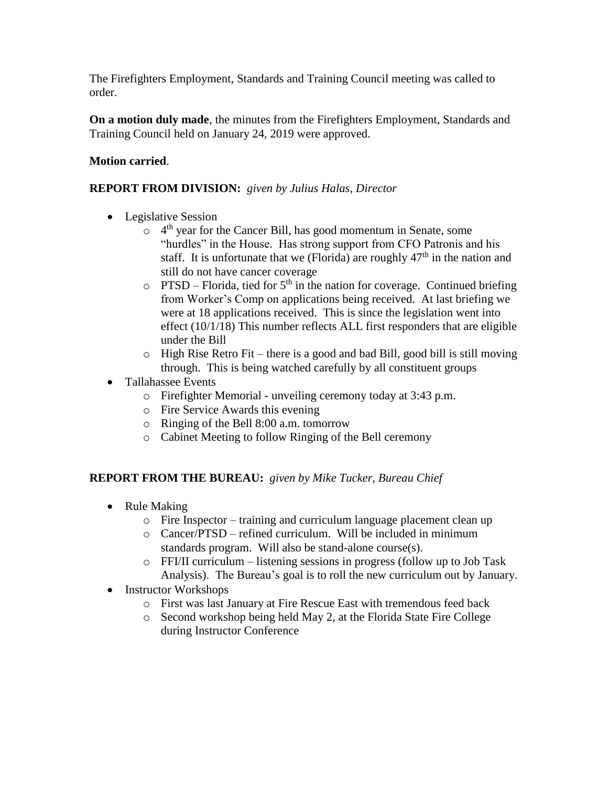The Firefighters Employment, Standards and Training Council meeting was called to order.

**On a motion duly made**, the minutes from the Firefighters Employment, Standards and Training Council held on January 24, 2019 were approved.

## **Motion carried**.

## **REPORT FROM DIVISION:** *given by Julius Halas, Director*

- Legislative Session
	- $\circ$  4<sup>th</sup> year for the Cancer Bill, has good momentum in Senate, some "hurdles" in the House. Has strong support from CFO Patronis and his staff. It is unfortunate that we (Florida) are roughly  $47<sup>th</sup>$  in the nation and still do not have cancer coverage
	- $\circ$  PTSD Florida, tied for 5<sup>th</sup> in the nation for coverage. Continued briefing from Worker's Comp on applications being received. At last briefing we were at 18 applications received. This is since the legislation went into effect (10/1/18) This number reflects ALL first responders that are eligible under the Bill
	- $\circ$  High Rise Retro Fit there is a good and bad Bill, good bill is still moving through. This is being watched carefully by all constituent groups
- Tallahassee Events
	- o Firefighter Memorial unveiling ceremony today at 3:43 p.m.
	- o Fire Service Awards this evening
	- o Ringing of the Bell 8:00 a.m. tomorrow
	- o Cabinet Meeting to follow Ringing of the Bell ceremony

#### **REPORT FROM THE BUREAU:** *given by Mike Tucker, Bureau Chief*

- Rule Making
	- o Fire Inspector training and curriculum language placement clean up
	- o Cancer/PTSD refined curriculum. Will be included in minimum standards program. Will also be stand-alone course(s).
	- o FFI/II curriculum listening sessions in progress (follow up to Job Task Analysis). The Bureau's goal is to roll the new curriculum out by January.
- Instructor Workshops
	- o First was last January at Fire Rescue East with tremendous feed back
	- o Second workshop being held May 2, at the Florida State Fire College during Instructor Conference